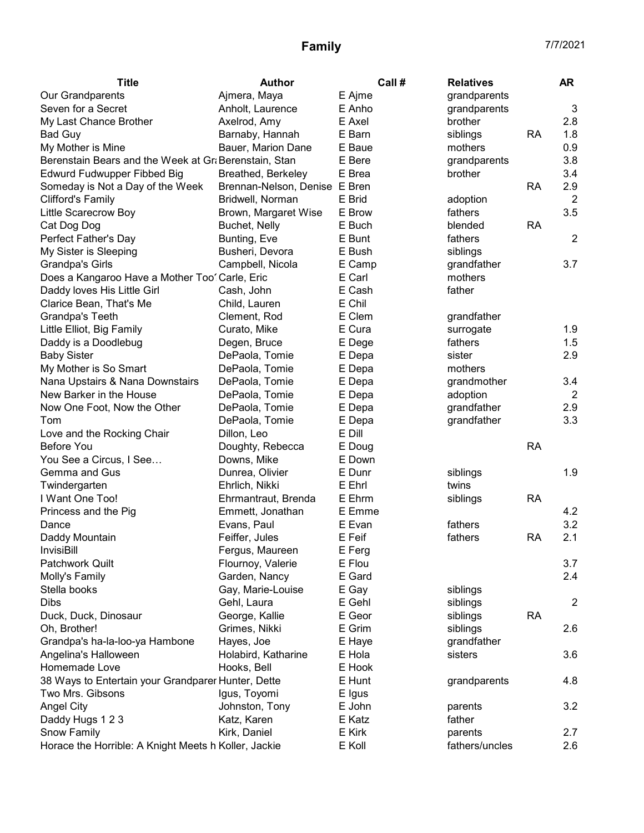| <b>Title</b>                                         | <b>Author</b>                 | Call # | <b>Relatives</b> |           | <b>AR</b>      |
|------------------------------------------------------|-------------------------------|--------|------------------|-----------|----------------|
| Our Grandparents                                     | Ajmera, Maya                  | E Ajme | grandparents     |           |                |
| Seven for a Secret                                   | Anholt, Laurence              | E Anho | grandparents     |           | 3              |
| My Last Chance Brother                               | Axelrod, Amy                  | E Axel | brother          |           | 2.8            |
| <b>Bad Guy</b>                                       | Barnaby, Hannah               | E Barn | siblings         | <b>RA</b> | 1.8            |
| My Mother is Mine                                    | Bauer, Marion Dane            | E Baue | mothers          |           | 0.9            |
| Berenstain Bears and the Week at Gr Berenstain, Stan |                               | E Bere | grandparents     |           | 3.8            |
| Edwurd Fudwupper Fibbed Big                          | Breathed, Berkeley            | E Brea | brother          |           | 3.4            |
| Someday is Not a Day of the Week                     | Brennan-Nelson, Denise E Bren |        |                  | <b>RA</b> | 2.9            |
| <b>Clifford's Family</b>                             | Bridwell, Norman              | E Brid | adoption         |           | $\overline{2}$ |
| Little Scarecrow Boy                                 | Brown, Margaret Wise          | E Brow | fathers          |           | 3.5            |
| Cat Dog Dog                                          | Buchet, Nelly                 | E Buch | blended          | <b>RA</b> |                |
| Perfect Father's Day                                 | Bunting, Eve                  | E Bunt | fathers          |           | $\overline{2}$ |
| My Sister is Sleeping                                | Busheri, Devora               | E Bush | siblings         |           |                |
| <b>Grandpa's Girls</b>                               | Campbell, Nicola              | E Camp | grandfather      |           | 3.7            |
| Does a Kangaroo Have a Mother Too' Carle, Eric       |                               | E Carl | mothers          |           |                |
| Daddy loves His Little Girl                          | Cash, John                    | E Cash | father           |           |                |
| Clarice Bean, That's Me                              | Child, Lauren                 | E Chil |                  |           |                |
| Grandpa's Teeth                                      | Clement, Rod                  | E Clem | grandfather      |           |                |
| Little Elliot, Big Family                            | Curato, Mike                  | E Cura | surrogate        |           | 1.9            |
| Daddy is a Doodlebug                                 | Degen, Bruce                  | E Dege | fathers          |           | 1.5            |
| <b>Baby Sister</b>                                   | DePaola, Tomie                | E Depa | sister           |           | 2.9            |
| My Mother is So Smart                                | DePaola, Tomie                | E Depa | mothers          |           |                |
| Nana Upstairs & Nana Downstairs                      | DePaola, Tomie                | E Depa | grandmother      |           | 3.4            |
| New Barker in the House                              | DePaola, Tomie                | E Depa | adoption         |           | $\overline{2}$ |
| Now One Foot, Now the Other                          | DePaola, Tomie                | E Depa | grandfather      |           | 2.9            |
| Tom                                                  | DePaola, Tomie                | E Depa | grandfather      |           | 3.3            |
| Love and the Rocking Chair                           | Dillon, Leo                   | E Dill |                  |           |                |
| Before You                                           | Doughty, Rebecca              | E Doug |                  | <b>RA</b> |                |
| You See a Circus, I See                              | Downs, Mike                   | E Down |                  |           |                |
| Gemma and Gus                                        | Dunrea, Olivier               | E Dunr | siblings         |           | 1.9            |
| Twindergarten                                        | Ehrlich, Nikki                | E Ehrl | twins            |           |                |
| I Want One Too!                                      | Ehrmantraut, Brenda           | E Ehrm | siblings         | <b>RA</b> |                |
| Princess and the Pig                                 | Emmett, Jonathan              | E Emme |                  |           | 4.2            |
| Dance                                                | Evans, Paul                   | E Evan | fathers          |           | 3.2            |
| Daddy Mountain                                       | Feiffer, Jules                | E Feif | fathers          | <b>RA</b> | 2.1            |
| <b>InvisiBill</b>                                    | Fergus, Maureen               | E Ferg |                  |           |                |
| <b>Patchwork Quilt</b>                               | Flournoy, Valerie             | E Flou |                  |           | 3.7            |
| Molly's Family                                       | Garden, Nancy                 | E Gard |                  |           | 2.4            |
| Stella books                                         | Gay, Marie-Louise             | E Gay  | siblings         |           |                |
| <b>Dibs</b>                                          | Gehl, Laura                   | E Gehl | siblings         |           | $\overline{2}$ |
| Duck, Duck, Dinosaur                                 | George, Kallie                | E Geor | siblings         | <b>RA</b> |                |
| Oh, Brother!                                         | Grimes, Nikki                 | E Grim | siblings         |           | 2.6            |
| Grandpa's ha-la-loo-ya Hambone                       | Hayes, Joe                    | E Haye | grandfather      |           |                |
| Angelina's Halloween                                 | Holabird, Katharine           | E Hola | sisters          |           | 3.6            |
| Homemade Love                                        | Hooks, Bell                   | E Hook |                  |           |                |
| 38 Ways to Entertain your Grandparer Hunter, Dette   |                               | E Hunt | grandparents     |           | 4.8            |
| Two Mrs. Gibsons                                     | Igus, Toyomi                  | E Igus |                  |           |                |
| <b>Angel City</b>                                    | Johnston, Tony                | E John | parents          |           | 3.2            |
| Daddy Hugs 1 2 3                                     | Katz, Karen                   | E Katz | father           |           |                |
| Snow Family                                          | Kirk, Daniel                  | E Kirk | parents          |           | 2.7            |
| Horace the Horrible: A Knight Meets h Koller, Jackie |                               | E Koll | fathers/uncles   |           | 2.6            |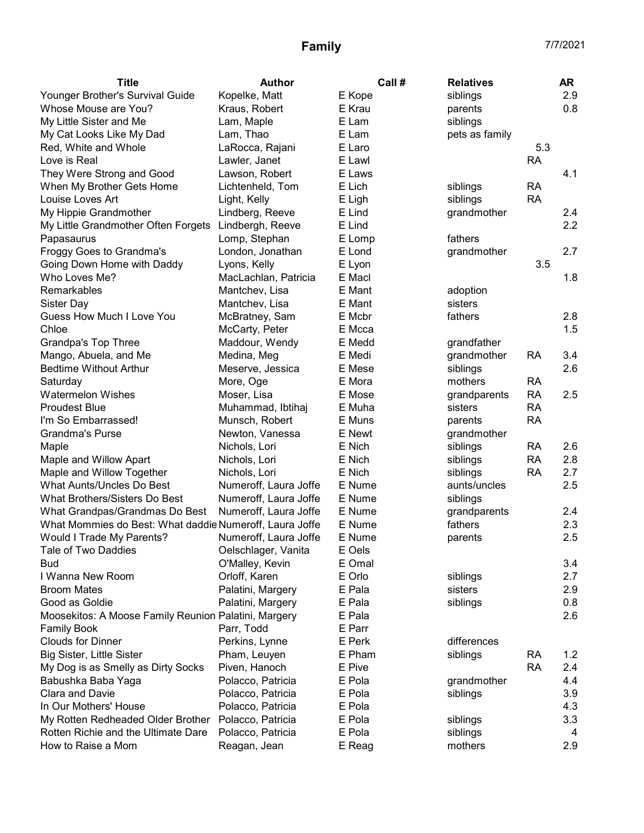| <b>Title</b>                                            | <b>Author</b>         | Call # | <b>Relatives</b> |           | AR  |
|---------------------------------------------------------|-----------------------|--------|------------------|-----------|-----|
| Younger Brother's Survival Guide                        | Kopelke, Matt         | E Kope | siblings         |           | 2.9 |
| Whose Mouse are You?                                    | Kraus, Robert         | E Krau | parents          |           | 0.8 |
| My Little Sister and Me                                 | Lam, Maple            | E Lam  | siblings         |           |     |
| My Cat Looks Like My Dad                                | Lam, Thao             | E Lam  | pets as family   |           |     |
| Red, White and Whole                                    | LaRocca, Rajani       | E Laro |                  | 5.3       |     |
| Love is Real                                            | Lawler, Janet         | E Lawl |                  | <b>RA</b> |     |
| They Were Strong and Good                               | Lawson, Robert        | E Laws |                  |           | 4.1 |
| When My Brother Gets Home                               | Lichtenheld, Tom      | E Lich | siblings         | <b>RA</b> |     |
| Louise Loves Art                                        | Light, Kelly          | E Ligh | siblings         | <b>RA</b> |     |
| My Hippie Grandmother                                   | Lindberg, Reeve       | E Lind | grandmother      |           | 2.4 |
| My Little Grandmother Often Forgets                     | Lindbergh, Reeve      | E Lind |                  |           | 2.2 |
| Papasaurus                                              | Lomp, Stephan         | E Lomp | fathers          |           |     |
| Froggy Goes to Grandma's                                | London, Jonathan      | E Lond | grandmother      |           | 2.7 |
| Going Down Home with Daddy                              | Lyons, Kelly          | E Lyon |                  | 3.5       |     |
| Who Loves Me?                                           | MacLachlan, Patricia  | E Macl |                  |           | 1.8 |
| Remarkables                                             | Mantchev, Lisa        | E Mant | adoption         |           |     |
| Sister Day                                              | Mantchev, Lisa        | E Mant | sisters          |           |     |
| Guess How Much I Love You                               | McBratney, Sam        | E Mcbr | fathers          |           | 2.8 |
| Chloe                                                   | McCarty, Peter        | E Mcca |                  |           | 1.5 |
| Grandpa's Top Three                                     | Maddour, Wendy        | E Medd | grandfather      |           |     |
| Mango, Abuela, and Me                                   | Medina, Meg           | E Medi | grandmother      | RA        | 3.4 |
| <b>Bedtime Without Arthur</b>                           | Meserve, Jessica      | E Mese | siblings         |           | 2.6 |
| Saturday                                                | More, Oge             | E Mora | mothers          | <b>RA</b> |     |
| <b>Watermelon Wishes</b>                                | Moser, Lisa           | E Mose | grandparents     | <b>RA</b> | 2.5 |
| <b>Proudest Blue</b>                                    | Muhammad, Ibtihaj     | E Muha | sisters          | <b>RA</b> |     |
| I'm So Embarrassed!                                     | Munsch, Robert        | E Muns | parents          | <b>RA</b> |     |
| <b>Grandma's Purse</b>                                  | Newton, Vanessa       | E Newt | grandmother      |           |     |
| Maple                                                   | Nichols, Lori         | E Nich | siblings         | <b>RA</b> | 2.6 |
| Maple and Willow Apart                                  | Nichols, Lori         | E Nich | siblings         | <b>RA</b> | 2.8 |
| Maple and Willow Together                               | Nichols, Lori         | E Nich | siblings         | <b>RA</b> | 2.7 |
| What Aunts/Uncles Do Best                               | Numeroff, Laura Joffe | E Nume | aunts/uncles     |           | 2.5 |
| What Brothers/Sisters Do Best                           | Numeroff, Laura Joffe | E Nume | siblings         |           |     |
| What Grandpas/Grandmas Do Best                          | Numeroff, Laura Joffe | E Nume | grandparents     |           | 2.4 |
| What Mommies do Best: What daddie Numeroff, Laura Joffe |                       | E Nume | fathers          |           | 2.3 |
| Would I Trade My Parents?                               | Numeroff, Laura Joffe | E Nume | parents          |           | 2.5 |
| Tale of Two Daddies                                     | Oelschlager, Vanita   | E Oels |                  |           |     |
| <b>Bud</b>                                              | O'Malley, Kevin       | E Omal |                  |           | 3.4 |
| I Wanna New Room                                        | Orloff, Karen         | E Orlo | siblings         |           | 2.7 |
| <b>Broom Mates</b>                                      | Palatini, Margery     | E Pala | sisters          |           | 2.9 |
| Good as Goldie                                          | Palatini, Margery     | E Pala | siblings         |           | 0.8 |
| Moosekitos: A Moose Family Reunion Palatini, Margery    |                       | E Pala |                  |           | 2.6 |
| <b>Family Book</b>                                      | Parr, Todd            | E Parr |                  |           |     |
| <b>Clouds for Dinner</b>                                | Perkins, Lynne        | E Perk | differences      |           |     |
| Big Sister, Little Sister                               | Pham, Leuyen          | E Pham | siblings         | RA        | 1.2 |
| My Dog is as Smelly as Dirty Socks                      | Piven, Hanoch         | E Pive |                  | <b>RA</b> | 2.4 |
| Babushka Baba Yaga                                      | Polacco, Patricia     | E Pola | grandmother      |           | 4.4 |
| Clara and Davie                                         | Polacco, Patricia     | E Pola | siblings         |           | 3.9 |
| In Our Mothers' House                                   | Polacco, Patricia     | E Pola |                  |           | 4.3 |
| My Rotten Redheaded Older Brother                       | Polacco, Patricia     | E Pola | siblings         |           | 3.3 |
| Rotten Richie and the Ultimate Dare                     | Polacco, Patricia     | E Pola | siblings         |           | 4   |
| How to Raise a Mom                                      | Reagan, Jean          | E Reag | mothers          |           | 2.9 |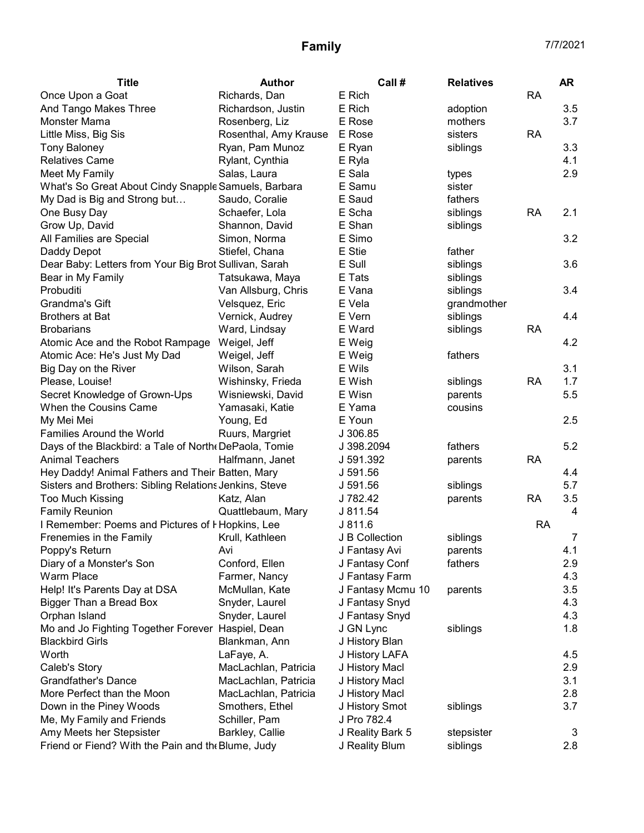| <b>Title</b>                                           | <b>Author</b>         | Call #            | <b>Relatives</b> |           | <b>AR</b>      |
|--------------------------------------------------------|-----------------------|-------------------|------------------|-----------|----------------|
| Once Upon a Goat                                       | Richards, Dan         | E Rich            |                  | <b>RA</b> |                |
| And Tango Makes Three                                  | Richardson, Justin    | E Rich            | adoption         |           | 3.5            |
| Monster Mama                                           | Rosenberg, Liz        | E Rose            | mothers          |           | 3.7            |
| Little Miss, Big Sis                                   | Rosenthal, Amy Krause | E Rose            | sisters          | <b>RA</b> |                |
| <b>Tony Baloney</b>                                    | Ryan, Pam Munoz       | E Ryan            | siblings         |           | 3.3            |
| <b>Relatives Came</b>                                  | Rylant, Cynthia       | E Ryla            |                  |           | 4.1            |
| Meet My Family                                         | Salas, Laura          | E Sala            | types            |           | 2.9            |
| What's So Great About Cindy Snapple Samuels, Barbara   |                       | E Samu            | sister           |           |                |
| My Dad is Big and Strong but                           | Saudo, Coralie        | E Saud            | fathers          |           |                |
| One Busy Day                                           | Schaefer, Lola        | E Scha            | siblings         | <b>RA</b> | 2.1            |
| Grow Up, David                                         | Shannon, David        | E Shan            | siblings         |           |                |
| All Families are Special                               | Simon, Norma          | E Simo            |                  |           | 3.2            |
| Daddy Depot                                            | Stiefel, Chana        | E Stie            | father           |           |                |
| Dear Baby: Letters from Your Big Brot Sullivan, Sarah  |                       | E Sull            | siblings         |           | 3.6            |
| Bear in My Family                                      | Tatsukawa, Maya       | E Tats            | siblings         |           |                |
| Probuditi                                              | Van Allsburg, Chris   | E Vana            | siblings         |           | 3.4            |
| Grandma's Gift                                         | Velsquez, Eric        | E Vela            | grandmother      |           |                |
| <b>Brothers at Bat</b>                                 | Vernick, Audrey       | E Vern            | siblings         |           | 4.4            |
| <b>Brobarians</b>                                      | Ward, Lindsay         | E Ward            | siblings         | <b>RA</b> |                |
| Atomic Ace and the Robot Rampage                       | Weigel, Jeff          | E Weig            |                  |           | 4.2            |
| Atomic Ace: He's Just My Dad                           | Weigel, Jeff          | E Weig            | fathers          |           |                |
| Big Day on the River                                   | Wilson, Sarah         | E Wils            |                  |           | 3.1            |
| Please, Louise!                                        | Wishinsky, Frieda     | E Wish            | siblings         | <b>RA</b> | 1.7            |
| Secret Knowledge of Grown-Ups                          | Wisniewski, David     | E Wisn            | parents          |           | 5.5            |
| When the Cousins Came                                  | Yamasaki, Katie       | E Yama            | cousins          |           |                |
| My Mei Mei                                             | Young, Ed             | E Youn            |                  |           | 2.5            |
| <b>Families Around the World</b>                       | Ruurs, Margriet       | J 306.85          |                  |           |                |
| Days of the Blackbird: a Tale of North (DePaola, Tomie |                       | J 398.2094        | fathers          |           | 5.2            |
| <b>Animal Teachers</b>                                 | Halfmann, Janet       | J 591.392         | parents          | <b>RA</b> |                |
| Hey Daddy! Animal Fathers and Their Batten, Mary       |                       | J 591.56          |                  |           | 4.4            |
| Sisters and Brothers: Sibling Relations Jenkins, Steve |                       | J 591.56          | siblings         |           | 5.7            |
| <b>Too Much Kissing</b>                                | Katz, Alan            | J 782.42          | parents          | RA        | 3.5            |
| <b>Family Reunion</b>                                  | Quattlebaum, Mary     | J 811.54          |                  |           | 4              |
| I Remember: Poems and Pictures of I Hopkins, Lee       |                       | J 811.6           |                  | <b>RA</b> |                |
| Frenemies in the Family                                | Krull, Kathleen       | J B Collection    | siblings         |           | $\overline{7}$ |
| Poppy's Return                                         | Avi                   | J Fantasy Avi     | parents          |           | 4.1            |
| Diary of a Monster's Son                               | Conford, Ellen        | J Fantasy Conf    | fathers          |           | 2.9            |
| <b>Warm Place</b>                                      | Farmer, Nancy         | J Fantasy Farm    |                  |           | 4.3            |
| Help! It's Parents Day at DSA                          | McMullan, Kate        | J Fantasy Mcmu 10 | parents          |           | 3.5            |
| Bigger Than a Bread Box                                | Snyder, Laurel        | J Fantasy Snyd    |                  |           | 4.3            |
| Orphan Island                                          | Snyder, Laurel        | J Fantasy Snyd    |                  |           | 4.3            |
| Mo and Jo Fighting Together Forever Haspiel, Dean      |                       | J GN Lync         | siblings         |           | 1.8            |
| <b>Blackbird Girls</b>                                 | Blankman, Ann         | J History Blan    |                  |           |                |
| Worth                                                  | LaFaye, A.            | J History LAFA    |                  |           | 4.5            |
| Caleb's Story                                          | MacLachlan, Patricia  | J History Macl    |                  |           | 2.9            |
| <b>Grandfather's Dance</b>                             | MacLachlan, Patricia  | J History Macl    |                  |           | 3.1            |
| More Perfect than the Moon                             | MacLachlan, Patricia  | J History Macl    |                  |           | 2.8            |
| Down in the Piney Woods                                | Smothers, Ethel       | J History Smot    | siblings         |           | 3.7            |
| Me, My Family and Friends                              | Schiller, Pam         | J Pro 782.4       |                  |           |                |
| Amy Meets her Stepsister                               | Barkley, Callie       | J Reality Bark 5  | stepsister       |           | 3              |
| Friend or Fiend? With the Pain and the Blume, Judy     |                       | J Reality Blum    | siblings         |           | 2.8            |